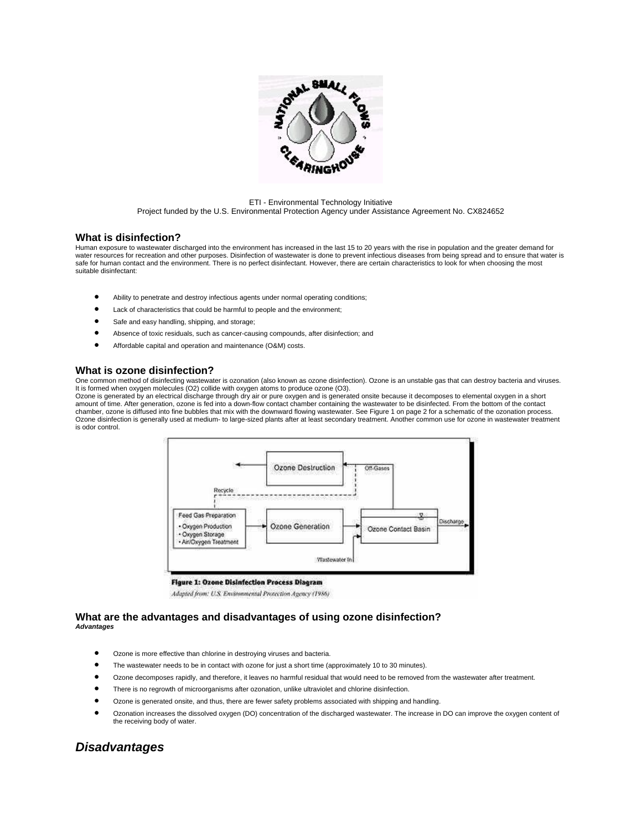

#### ETI - Environmental Technology Initiative Project funded by the U.S. Environmental Protection Agency under Assistance Agreement No. CX824652

### **What is disinfection?**

Human exposure to wastewater discharged into the environment has increased in the last 15 to 20 years with the rise in population and the greater demand for water resources for recreation and other purposes. Disinfection of wastewater is done to prevent infectious diseases from being spread and to ensure that water is safe for human contact and the environment. There is no perfect disinfectant. However, there are certain characteristics to look for when choosing the most suitable disinfectant:

- Ability to penetrate and destroy infectious agents under normal operating conditions;
- Lack of characteristics that could be harmful to people and the environment;
- Safe and easy handling, shipping, and storage;
- Absence of toxic residuals, such as cancer-causing compounds, after disinfection; and
- Affordable capital and operation and maintenance (O&M) costs.

## **What is ozone disinfection?**

One common method of disinfecting wastewater is ozonation (also known as ozone disinfection). Ozone is an unstable gas that can destroy bacteria and viruses. It is formed when oxygen molecules (O2) collide with oxygen atoms to produce ozone (O3).

Ozone is generated by an electrical discharge through dry air or pure oxygen and is generated onsite because it decomposes to elemental oxygen in a short amount of time. After generation, ozone is fed into a down-flow contact chamber containing the wastewater to be disinfected. From the bottom of the contact chamber, ozone is diffused into fine bubbles that mix with the downward flowing wastewater. See Figure 1 on page 2 for a schematic of the ozonation process. Ozone disinfection is generally used at medium- to large-sized plants after at least secondary treatment. Another common use for ozone in wastewater treatment is odor control.



**Figure 1: Ozone Disinfection Process Diagram** 

Adapted from: U.S. Environmental Protection Agency (1986)

### **What are the advantages and disadvantages of using ozone disinfection?**  *Advantages*

- Ozone is more effective than chlorine in destroying viruses and bacteria.
- The wastewater needs to be in contact with ozone for just a short time (approximately 10 to 30 minutes).
- Ozone decomposes rapidly, and therefore, it leaves no harmful residual that would need to be removed from the wastewater after treatment.
- There is no regrowth of microorganisms after ozonation, unlike ultraviolet and chlorine disinfection.
- Ozone is generated onsite, and thus, there are fewer safety problems associated with shipping and handling.
- Ozonation increases the dissolved oxygen (DO) concentration of the discharged wastewater. The increase in DO can improve the oxygen content of the receiving body of water.

# *Disadvantages*